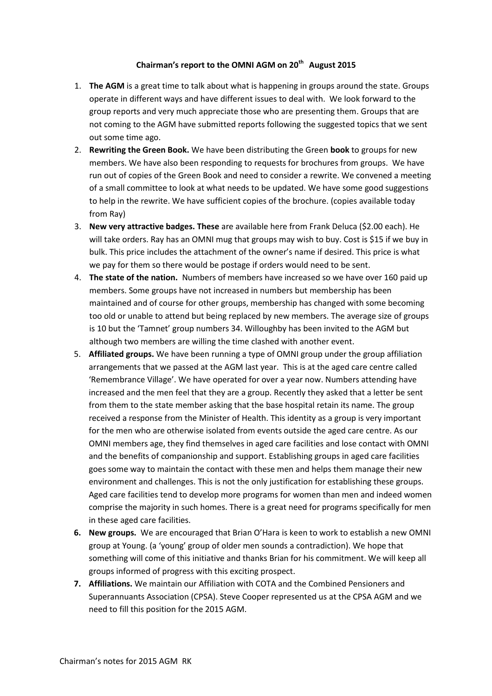## **Chairman's report to the OMNI AGM on 20th August 2015**

- 1. **The AGM** is a great time to talk about what is happening in groups around the state. Groups operate in different ways and have different issues to deal with. We look forward to the group reports and very much appreciate those who are presenting them. Groups that are not coming to the AGM have submitted reports following the suggested topics that we sent out some time ago.
- 2. **Rewriting the Green Book.** We have been distributing the Green **book** to groups for new members. We have also been responding to requests for brochures from groups. We have run out of copies of the Green Book and need to consider a rewrite. We convened a meeting of a small committee to look at what needs to be updated. We have some good suggestions to help in the rewrite. We have sufficient copies of the brochure. (copies available today from Ray)
- 3. **New very attractive badges. These** are available here from Frank Deluca (\$2.00 each). He will take orders. Ray has an OMNI mug that groups may wish to buy. Cost is \$15 if we buy in bulk. This price includes the attachment of the owner's name if desired. This price is what we pay for them so there would be postage if orders would need to be sent.
- 4. **The state of the nation.** Numbers of members have increased so we have over 160 paid up members. Some groups have not increased in numbers but membership has been maintained and of course for other groups, membership has changed with some becoming too old or unable to attend but being replaced by new members. The average size of groups is 10 but the 'Tamnet' group numbers 34. Willoughby has been invited to the AGM but although two members are willing the time clashed with another event.
- 5. **Affiliated groups.** We have been running a type of OMNI group under the group affiliation arrangements that we passed at the AGM last year. This is at the aged care centre called 'Remembrance Village'. We have operated for over a year now. Numbers attending have increased and the men feel that they are a group. Recently they asked that a letter be sent from them to the state member asking that the base hospital retain its name. The group received a response from the Minister of Health. This identity as a group is very important for the men who are otherwise isolated from events outside the aged care centre. As our OMNI members age, they find themselves in aged care facilities and lose contact with OMNI and the benefits of companionship and support. Establishing groups in aged care facilities goes some way to maintain the contact with these men and helps them manage their new environment and challenges. This is not the only justification for establishing these groups. Aged care facilities tend to develop more programs for women than men and indeed women comprise the majority in such homes. There is a great need for programs specifically for men in these aged care facilities.
- **6. New groups.** We are encouraged that Brian O'Hara is keen to work to establish a new OMNI group at Young. (a 'young' group of older men sounds a contradiction). We hope that something will come of this initiative and thanks Brian for his commitment. We will keep all groups informed of progress with this exciting prospect.
- **7. Affiliations.** We maintain our Affiliation with COTA and the Combined Pensioners and Superannuants Association (CPSA). Steve Cooper represented us at the CPSA AGM and we need to fill this position for the 2015 AGM.